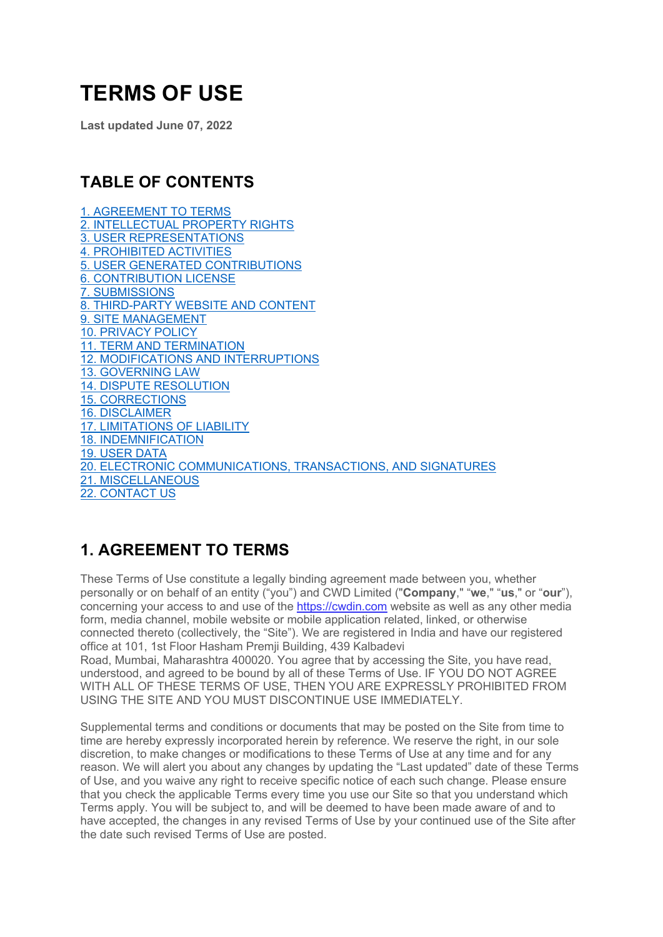# **TERMS OF USE**

**Last updated June 07, 2022**

# **TABLE OF CONTENTS**

1. AGREEMENT TO TERMS 2. INTELLECTUAL PROPERTY RIGHTS 3. USER REPRESENTATIONS 4. PROHIBITED ACTIVITIES 5. USER GENERATED CONTRIBUTIONS 6. CONTRIBUTION LICENSE 7. SUBMISSIONS 8. THIRD-PARTY WEBSITE AND CONTENT 9. SITE MANAGEMENT 10. PRIVACY POLICY 11. TERM AND TERMINATION 12. MODIFICATIONS AND INTERRUPTIONS 13. GOVERNING LAW 14. DISPUTE RESOLUTION 15. CORRECTIONS 16. DISCLAIMER 17. LIMITATIONS OF LIABILITY 18. INDEMNIFICATION 19. USER DATA 20. ELECTRONIC COMMUNICATIONS, TRANSACTIONS, AND SIGNATURES 21. MISCELLANEOUS 22. CONTACT US

# **1. AGREEMENT TO TERMS**

These Terms of Use constitute a legally binding agreement made between you, whether personally or on behalf of an entity ("you") and CWD Limited ("**Company**," "**we**," "**us**," or "**our**"), concerning your access to and use of the https://cwdin.com website as well as any other media form, media channel, mobile website or mobile application related, linked, or otherwise connected thereto (collectively, the "Site"). We are registered in India and have our registered office at 101, 1st Floor Hasham Premji Building, 439 Kalbadevi Road, Mumbai, Maharashtra 400020. You agree that by accessing the Site, you have read, understood, and agreed to be bound by all of these Terms of Use. IF YOU DO NOT AGREE WITH ALL OF THESE TERMS OF USE, THEN YOU ARE EXPRESSLY PROHIBITED FROM USING THE SITE AND YOU MUST DISCONTINUE USE IMMEDIATELY.

Supplemental terms and conditions or documents that may be posted on the Site from time to time are hereby expressly incorporated herein by reference. We reserve the right, in our sole discretion, to make changes or modifications to these Terms of Use at any time and for any reason. We will alert you about any changes by updating the "Last updated" date of these Terms of Use, and you waive any right to receive specific notice of each such change. Please ensure that you check the applicable Terms every time you use our Site so that you understand which Terms apply. You will be subject to, and will be deemed to have been made aware of and to have accepted, the changes in any revised Terms of Use by your continued use of the Site after the date such revised Terms of Use are posted.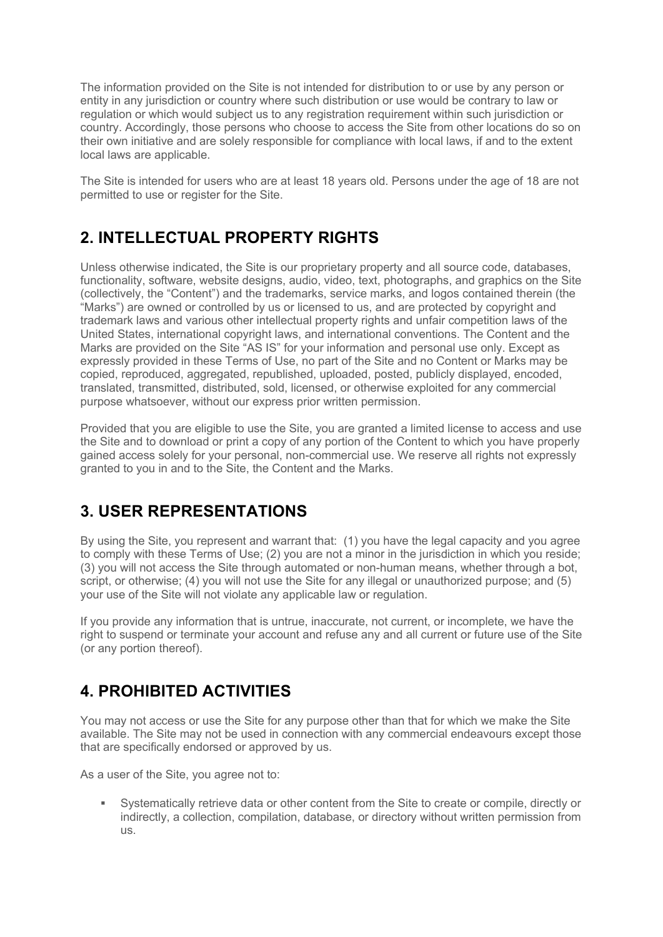The information provided on the Site is not intended for distribution to or use by any person or entity in any jurisdiction or country where such distribution or use would be contrary to law or regulation or which would subject us to any registration requirement within such jurisdiction or country. Accordingly, those persons who choose to access the Site from other locations do so on their own initiative and are solely responsible for compliance with local laws, if and to the extent local laws are applicable.

The Site is intended for users who are at least 18 years old. Persons under the age of 18 are not permitted to use or register for the Site.

# **2. INTELLECTUAL PROPERTY RIGHTS**

Unless otherwise indicated, the Site is our proprietary property and all source code, databases, functionality, software, website designs, audio, video, text, photographs, and graphics on the Site (collectively, the "Content") and the trademarks, service marks, and logos contained therein (the "Marks") are owned or controlled by us or licensed to us, and are protected by copyright and trademark laws and various other intellectual property rights and unfair competition laws of the United States, international copyright laws, and international conventions. The Content and the Marks are provided on the Site "AS IS" for your information and personal use only. Except as expressly provided in these Terms of Use, no part of the Site and no Content or Marks may be copied, reproduced, aggregated, republished, uploaded, posted, publicly displayed, encoded, translated, transmitted, distributed, sold, licensed, or otherwise exploited for any commercial purpose whatsoever, without our express prior written permission.

Provided that you are eligible to use the Site, you are granted a limited license to access and use the Site and to download or print a copy of any portion of the Content to which you have properly gained access solely for your personal, non-commercial use. We reserve all rights not expressly granted to you in and to the Site, the Content and the Marks.

# **3. USER REPRESENTATIONS**

By using the Site, you represent and warrant that: (1) you have the legal capacity and you agree to comply with these Terms of Use; (2) you are not a minor in the jurisdiction in which you reside; (3) you will not access the Site through automated or non-human means, whether through a bot, script, or otherwise; (4) you will not use the Site for any illegal or unauthorized purpose; and (5) your use of the Site will not violate any applicable law or regulation.

If you provide any information that is untrue, inaccurate, not current, or incomplete, we have the right to suspend or terminate your account and refuse any and all current or future use of the Site (or any portion thereof).

# **4. PROHIBITED ACTIVITIES**

You may not access or use the Site for any purpose other than that for which we make the Site available. The Site may not be used in connection with any commercial endeavours except those that are specifically endorsed or approved by us.

As a user of the Site, you agree not to:

§ Systematically retrieve data or other content from the Site to create or compile, directly or indirectly, a collection, compilation, database, or directory without written permission from us.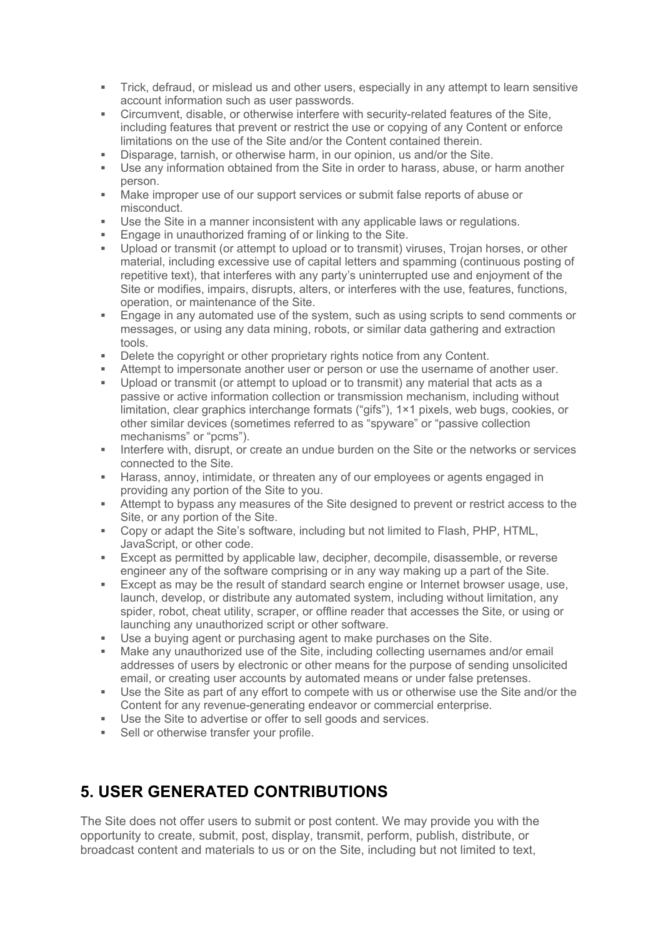- Trick, defraud, or mislead us and other users, especially in any attempt to learn sensitive account information such as user passwords.
- Circumvent, disable, or otherwise interfere with security-related features of the Site, including features that prevent or restrict the use or copying of any Content or enforce limitations on the use of the Site and/or the Content contained therein.
- Disparage, tarnish, or otherwise harm, in our opinion, us and/or the Site.<br>■ Lise any information obtained from the Site in order to barass, abuse, or
- Use any information obtained from the Site in order to harass, abuse, or harm another person.
- § Make improper use of our support services or submit false reports of abuse or misconduct.
- Use the Site in a manner inconsistent with any applicable laws or regulations.
- Engage in unauthorized framing of or linking to the Site.
- § Upload or transmit (or attempt to upload or to transmit) viruses, Trojan horses, or other material, including excessive use of capital letters and spamming (continuous posting of repetitive text), that interferes with any party's uninterrupted use and enjoyment of the Site or modifies, impairs, disrupts, alters, or interferes with the use, features, functions, operation, or maintenance of the Site.
- § Engage in any automated use of the system, such as using scripts to send comments or messages, or using any data mining, robots, or similar data gathering and extraction tools.
- **•** Delete the copyright or other proprietary rights notice from any Content.
- Attempt to impersonate another user or person or use the username of another user.
- § Upload or transmit (or attempt to upload or to transmit) any material that acts as a passive or active information collection or transmission mechanism, including without limitation, clear graphics interchange formats ("gifs"), 1×1 pixels, web bugs, cookies, or other similar devices (sometimes referred to as "spyware" or "passive collection mechanisms" or "pcms").
- Interfere with, disrupt, or create an undue burden on the Site or the networks or services connected to the Site.
- **EXED** Harass, annoy, intimidate, or threaten any of our employees or agents engaged in providing any portion of the Site to you.
- **■** Attempt to bypass any measures of the Site designed to prevent or restrict access to the Site, or any portion of the Site.
- Copy or adapt the Site's software, including but not limited to Flash, PHP, HTML, JavaScript, or other code.
- Except as permitted by applicable law, decipher, decompile, disassemble, or reverse engineer any of the software comprising or in any way making up a part of the Site.
- Except as may be the result of standard search engine or Internet browser usage, use, launch, develop, or distribute any automated system, including without limitation, any spider, robot, cheat utility, scraper, or offline reader that accesses the Site, or using or launching any unauthorized script or other software.
- Use a buying agent or purchasing agent to make purchases on the Site.
- Make any unauthorized use of the Site, including collecting usernames and/or email addresses of users by electronic or other means for the purpose of sending unsolicited email, or creating user accounts by automated means or under false pretenses.
- § Use the Site as part of any effort to compete with us or otherwise use the Site and/or the Content for any revenue-generating endeavor or commercial enterprise.
- Use the Site to advertise or offer to sell goods and services.
- Sell or otherwise transfer your profile.

# **5. USER GENERATED CONTRIBUTIONS**

The Site does not offer users to submit or post content. We may provide you with the opportunity to create, submit, post, display, transmit, perform, publish, distribute, or broadcast content and materials to us or on the Site, including but not limited to text,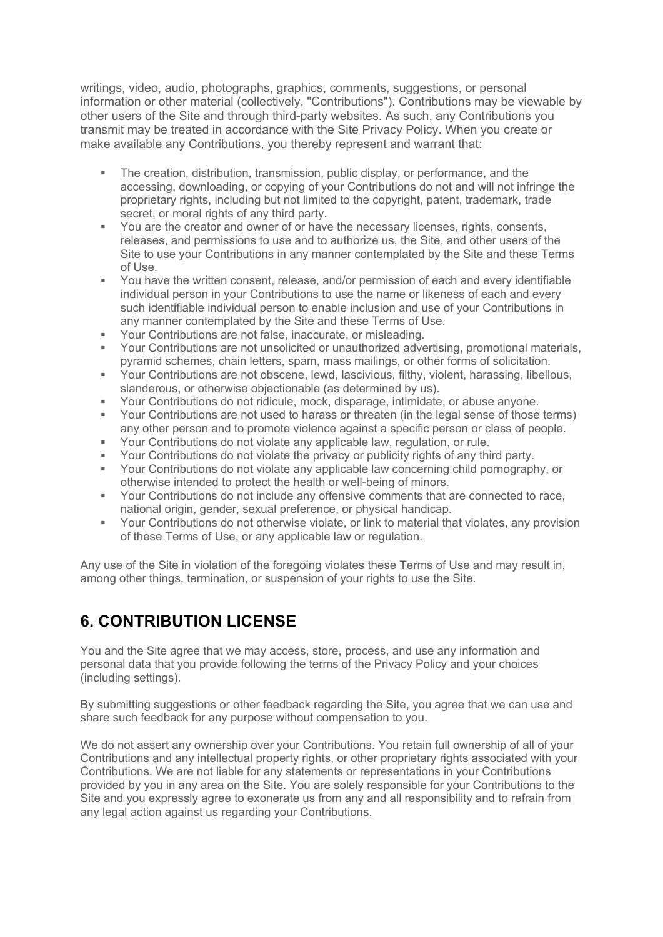writings, video, audio, photographs, graphics, comments, suggestions, or personal information or other material (collectively, "Contributions"). Contributions may be viewable by other users of the Site and through third-party websites. As such, any Contributions you transmit may be treated in accordance with the Site Privacy Policy. When you create or make available any Contributions, you thereby represent and warrant that:

- The creation, distribution, transmission, public display, or performance, and the accessing, downloading, or copying of your Contributions do not and will not infringe the proprietary rights, including but not limited to the copyright, patent, trademark, trade secret, or moral rights of any third party.
- § You are the creator and owner of or have the necessary licenses, rights, consents, releases, and permissions to use and to authorize us, the Site, and other users of the Site to use your Contributions in any manner contemplated by the Site and these Terms of Use.
- § You have the written consent, release, and/or permission of each and every identifiable individual person in your Contributions to use the name or likeness of each and every such identifiable individual person to enable inclusion and use of your Contributions in any manner contemplated by the Site and these Terms of Use.
- Your Contributions are not false, inaccurate, or misleading.
- Your Contributions are not unsolicited or unauthorized advertising, promotional materials, pyramid schemes, chain letters, spam, mass mailings, or other forms of solicitation.
- § Your Contributions are not obscene, lewd, lascivious, filthy, violent, harassing, libellous, slanderous, or otherwise objectionable (as determined by us).
- § Your Contributions do not ridicule, mock, disparage, intimidate, or abuse anyone.
- § Your Contributions are not used to harass or threaten (in the legal sense of those terms) any other person and to promote violence against a specific person or class of people.
- Your Contributions do not violate any applicable law, regulation, or rule.
- Your Contributions do not violate the privacy or publicity rights of any third party.
- Your Contributions do not violate any applicable law concerning child pornography, or otherwise intended to protect the health or well-being of minors.
- § Your Contributions do not include any offensive comments that are connected to race, national origin, gender, sexual preference, or physical handicap.
- § Your Contributions do not otherwise violate, or link to material that violates, any provision of these Terms of Use, or any applicable law or regulation.

Any use of the Site in violation of the foregoing violates these Terms of Use and may result in, among other things, termination, or suspension of your rights to use the Site.

# **6. CONTRIBUTION LICENSE**

You and the Site agree that we may access, store, process, and use any information and personal data that you provide following the terms of the Privacy Policy and your choices (including settings).

By submitting suggestions or other feedback regarding the Site, you agree that we can use and share such feedback for any purpose without compensation to you.

We do not assert any ownership over your Contributions. You retain full ownership of all of your Contributions and any intellectual property rights, or other proprietary rights associated with your Contributions. We are not liable for any statements or representations in your Contributions provided by you in any area on the Site. You are solely responsible for your Contributions to the Site and you expressly agree to exonerate us from any and all responsibility and to refrain from any legal action against us regarding your Contributions.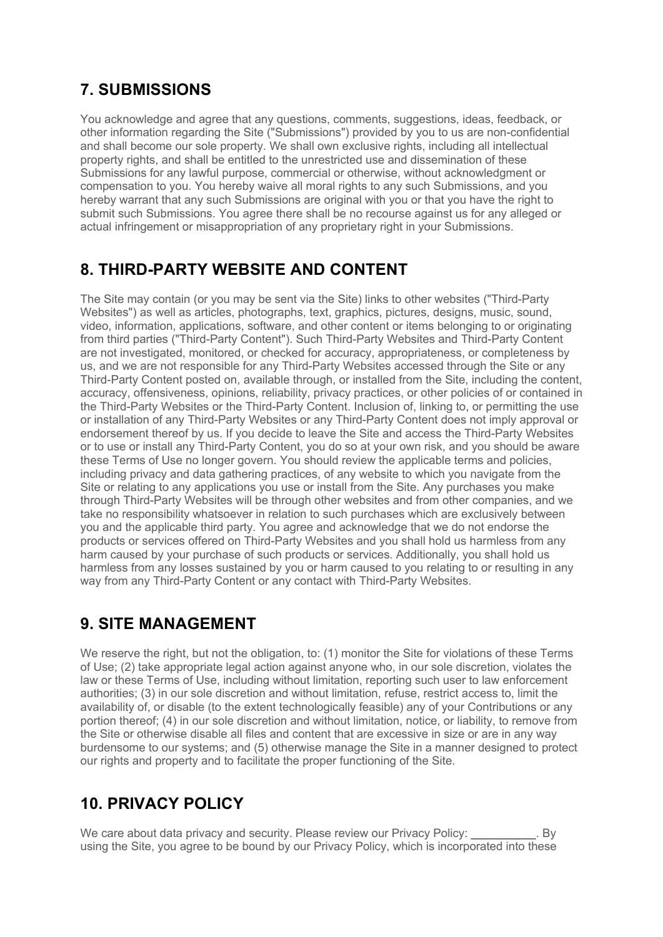# **7. SUBMISSIONS**

You acknowledge and agree that any questions, comments, suggestions, ideas, feedback, or other information regarding the Site ("Submissions") provided by you to us are non-confidential and shall become our sole property. We shall own exclusive rights, including all intellectual property rights, and shall be entitled to the unrestricted use and dissemination of these Submissions for any lawful purpose, commercial or otherwise, without acknowledgment or compensation to you. You hereby waive all moral rights to any such Submissions, and you hereby warrant that any such Submissions are original with you or that you have the right to submit such Submissions. You agree there shall be no recourse against us for any alleged or actual infringement or misappropriation of any proprietary right in your Submissions.

# **8. THIRD-PARTY WEBSITE AND CONTENT**

The Site may contain (or you may be sent via the Site) links to other websites ("Third-Party Websites") as well as articles, photographs, text, graphics, pictures, designs, music, sound, video, information, applications, software, and other content or items belonging to or originating from third parties ("Third-Party Content"). Such Third-Party Websites and Third-Party Content are not investigated, monitored, or checked for accuracy, appropriateness, or completeness by us, and we are not responsible for any Third-Party Websites accessed through the Site or any Third-Party Content posted on, available through, or installed from the Site, including the content, accuracy, offensiveness, opinions, reliability, privacy practices, or other policies of or contained in the Third-Party Websites or the Third-Party Content. Inclusion of, linking to, or permitting the use or installation of any Third-Party Websites or any Third-Party Content does not imply approval or endorsement thereof by us. If you decide to leave the Site and access the Third-Party Websites or to use or install any Third-Party Content, you do so at your own risk, and you should be aware these Terms of Use no longer govern. You should review the applicable terms and policies, including privacy and data gathering practices, of any website to which you navigate from the Site or relating to any applications you use or install from the Site. Any purchases you make through Third-Party Websites will be through other websites and from other companies, and we take no responsibility whatsoever in relation to such purchases which are exclusively between you and the applicable third party. You agree and acknowledge that we do not endorse the products or services offered on Third-Party Websites and you shall hold us harmless from any harm caused by your purchase of such products or services. Additionally, you shall hold us harmless from any losses sustained by you or harm caused to you relating to or resulting in any way from any Third-Party Content or any contact with Third-Party Websites.

# **9. SITE MANAGEMENT**

We reserve the right, but not the obligation, to: (1) monitor the Site for violations of these Terms of Use; (2) take appropriate legal action against anyone who, in our sole discretion, violates the law or these Terms of Use, including without limitation, reporting such user to law enforcement authorities; (3) in our sole discretion and without limitation, refuse, restrict access to, limit the availability of, or disable (to the extent technologically feasible) any of your Contributions or any portion thereof; (4) in our sole discretion and without limitation, notice, or liability, to remove from the Site or otherwise disable all files and content that are excessive in size or are in any way burdensome to our systems; and (5) otherwise manage the Site in a manner designed to protect our rights and property and to facilitate the proper functioning of the Site.

# **10. PRIVACY POLICY**

We care about data privacy and security. Please review our Privacy Policy: By using the Site, you agree to be bound by our Privacy Policy, which is incorporated into these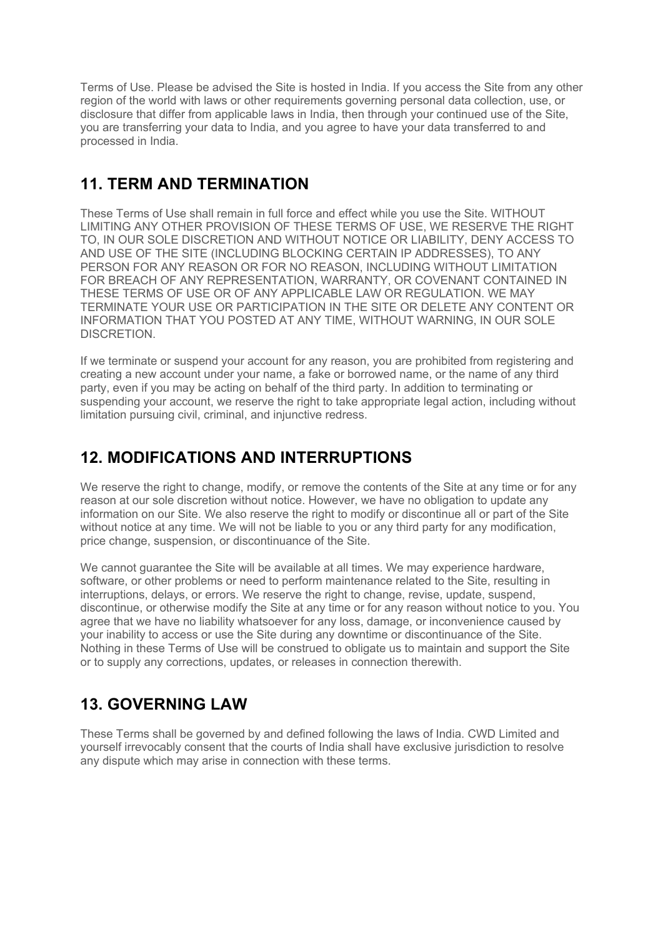Terms of Use. Please be advised the Site is hosted in India. If you access the Site from any other region of the world with laws or other requirements governing personal data collection, use, or disclosure that differ from applicable laws in India, then through your continued use of the Site, you are transferring your data to India, and you agree to have your data transferred to and processed in India.

# **11. TERM AND TERMINATION**

These Terms of Use shall remain in full force and effect while you use the Site. WITHOUT LIMITING ANY OTHER PROVISION OF THESE TERMS OF USE, WE RESERVE THE RIGHT TO, IN OUR SOLE DISCRETION AND WITHOUT NOTICE OR LIABILITY, DENY ACCESS TO AND USE OF THE SITE (INCLUDING BLOCKING CERTAIN IP ADDRESSES), TO ANY PERSON FOR ANY REASON OR FOR NO REASON, INCLUDING WITHOUT LIMITATION FOR BREACH OF ANY REPRESENTATION, WARRANTY, OR COVENANT CONTAINED IN THESE TERMS OF USE OR OF ANY APPLICABLE LAW OR REGULATION. WE MAY TERMINATE YOUR USE OR PARTICIPATION IN THE SITE OR DELETE ANY CONTENT OR INFORMATION THAT YOU POSTED AT ANY TIME, WITHOUT WARNING, IN OUR SOLE DISCRETION.

If we terminate or suspend your account for any reason, you are prohibited from registering and creating a new account under your name, a fake or borrowed name, or the name of any third party, even if you may be acting on behalf of the third party. In addition to terminating or suspending your account, we reserve the right to take appropriate legal action, including without limitation pursuing civil, criminal, and injunctive redress.

# **12. MODIFICATIONS AND INTERRUPTIONS**

We reserve the right to change, modify, or remove the contents of the Site at any time or for any reason at our sole discretion without notice. However, we have no obligation to update any information on our Site. We also reserve the right to modify or discontinue all or part of the Site without notice at any time. We will not be liable to you or any third party for any modification, price change, suspension, or discontinuance of the Site.

We cannot guarantee the Site will be available at all times. We may experience hardware, software, or other problems or need to perform maintenance related to the Site, resulting in interruptions, delays, or errors. We reserve the right to change, revise, update, suspend, discontinue, or otherwise modify the Site at any time or for any reason without notice to you. You agree that we have no liability whatsoever for any loss, damage, or inconvenience caused by your inability to access or use the Site during any downtime or discontinuance of the Site. Nothing in these Terms of Use will be construed to obligate us to maintain and support the Site or to supply any corrections, updates, or releases in connection therewith.

# **13. GOVERNING LAW**

These Terms shall be governed by and defined following the laws of India. CWD Limited and yourself irrevocably consent that the courts of India shall have exclusive jurisdiction to resolve any dispute which may arise in connection with these terms.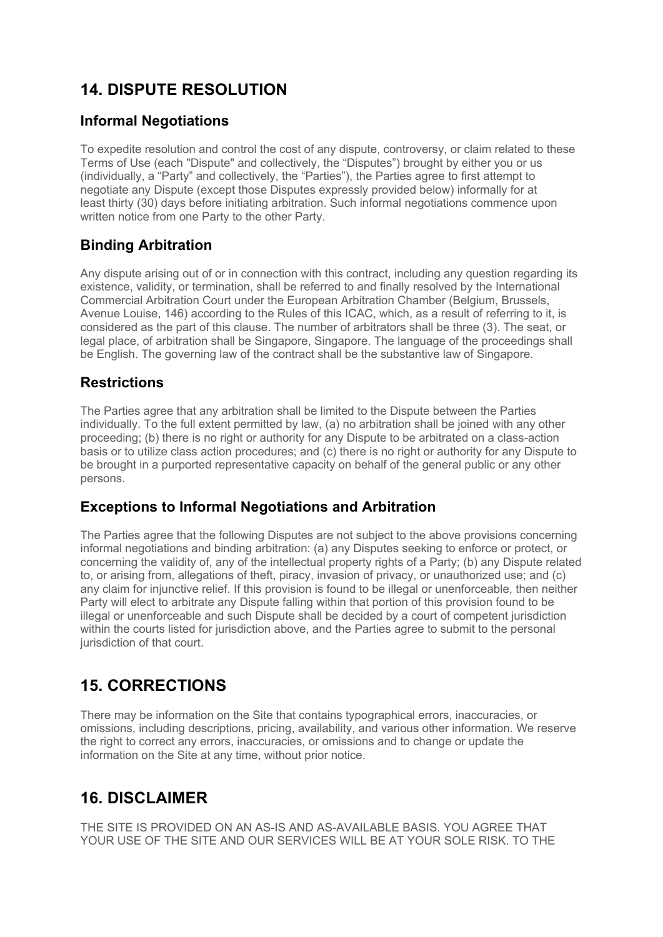# **14. DISPUTE RESOLUTION**

#### **Informal Negotiations**

To expedite resolution and control the cost of any dispute, controversy, or claim related to these Terms of Use (each "Dispute" and collectively, the "Disputes") brought by either you or us (individually, a "Party" and collectively, the "Parties"), the Parties agree to first attempt to negotiate any Dispute (except those Disputes expressly provided below) informally for at least thirty (30) days before initiating arbitration. Such informal negotiations commence upon written notice from one Party to the other Party.

#### **Binding Arbitration**

Any dispute arising out of or in connection with this contract, including any question regarding its existence, validity, or termination, shall be referred to and finally resolved by the International Commercial Arbitration Court under the European Arbitration Chamber (Belgium, Brussels, Avenue Louise, 146) according to the Rules of this ICAC, which, as a result of referring to it, is considered as the part of this clause. The number of arbitrators shall be three (3). The seat, or legal place, of arbitration shall be Singapore, Singapore. The language of the proceedings shall be English. The governing law of the contract shall be the substantive law of Singapore.

#### **Restrictions**

The Parties agree that any arbitration shall be limited to the Dispute between the Parties individually. To the full extent permitted by law, (a) no arbitration shall be joined with any other proceeding; (b) there is no right or authority for any Dispute to be arbitrated on a class-action basis or to utilize class action procedures; and (c) there is no right or authority for any Dispute to be brought in a purported representative capacity on behalf of the general public or any other persons.

#### **Exceptions to Informal Negotiations and Arbitration**

The Parties agree that the following Disputes are not subject to the above provisions concerning informal negotiations and binding arbitration: (a) any Disputes seeking to enforce or protect, or concerning the validity of, any of the intellectual property rights of a Party; (b) any Dispute related to, or arising from, allegations of theft, piracy, invasion of privacy, or unauthorized use; and (c) any claim for injunctive relief. If this provision is found to be illegal or unenforceable, then neither Party will elect to arbitrate any Dispute falling within that portion of this provision found to be illegal or unenforceable and such Dispute shall be decided by a court of competent jurisdiction within the courts listed for jurisdiction above, and the Parties agree to submit to the personal jurisdiction of that court.

# **15. CORRECTIONS**

There may be information on the Site that contains typographical errors, inaccuracies, or omissions, including descriptions, pricing, availability, and various other information. We reserve the right to correct any errors, inaccuracies, or omissions and to change or update the information on the Site at any time, without prior notice.

# **16. DISCLAIMER**

THE SITE IS PROVIDED ON AN AS-IS AND AS-AVAILABLE BASIS. YOU AGREE THAT YOUR USE OF THE SITE AND OUR SERVICES WILL BE AT YOUR SOLE RISK. TO THE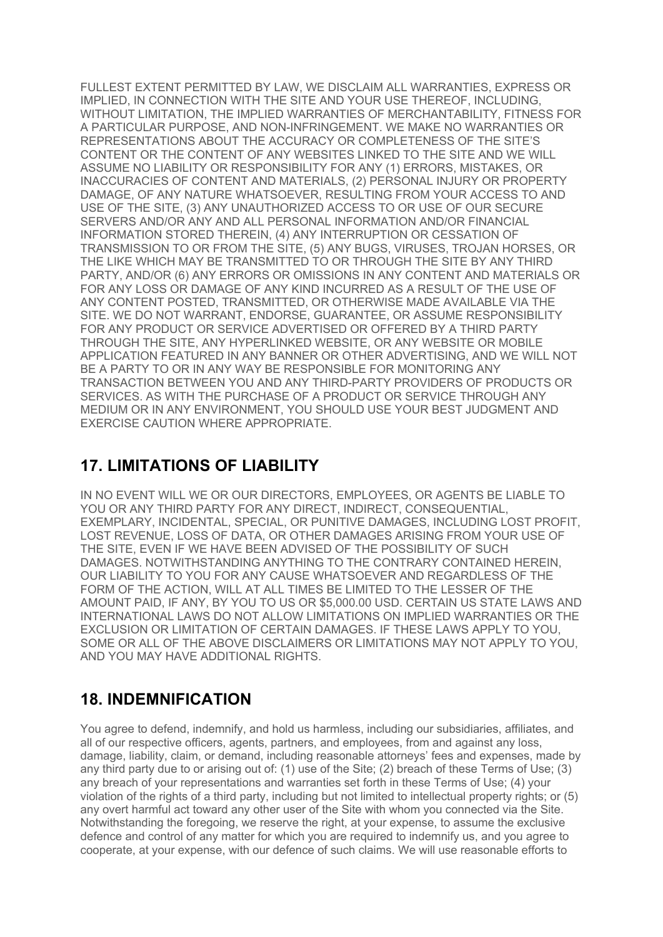FULLEST EXTENT PERMITTED BY LAW, WE DISCLAIM ALL WARRANTIES, EXPRESS OR IMPLIED, IN CONNECTION WITH THE SITE AND YOUR USE THEREOF, INCLUDING, WITHOUT LIMITATION, THE IMPLIED WARRANTIES OF MERCHANTABILITY, FITNESS FOR A PARTICULAR PURPOSE, AND NON-INFRINGEMENT. WE MAKE NO WARRANTIES OR REPRESENTATIONS ABOUT THE ACCURACY OR COMPLETENESS OF THE SITE'S CONTENT OR THE CONTENT OF ANY WEBSITES LINKED TO THE SITE AND WE WILL ASSUME NO LIABILITY OR RESPONSIBILITY FOR ANY (1) ERRORS, MISTAKES, OR INACCURACIES OF CONTENT AND MATERIALS, (2) PERSONAL INJURY OR PROPERTY DAMAGE, OF ANY NATURE WHATSOEVER, RESULTING FROM YOUR ACCESS TO AND USE OF THE SITE, (3) ANY UNAUTHORIZED ACCESS TO OR USE OF OUR SECURE SERVERS AND/OR ANY AND ALL PERSONAL INFORMATION AND/OR FINANCIAL INFORMATION STORED THEREIN, (4) ANY INTERRUPTION OR CESSATION OF TRANSMISSION TO OR FROM THE SITE, (5) ANY BUGS, VIRUSES, TROJAN HORSES, OR THE LIKE WHICH MAY BE TRANSMITTED TO OR THROUGH THE SITE BY ANY THIRD PARTY, AND/OR (6) ANY ERRORS OR OMISSIONS IN ANY CONTENT AND MATERIALS OR FOR ANY LOSS OR DAMAGE OF ANY KIND INCURRED AS A RESULT OF THE USE OF ANY CONTENT POSTED, TRANSMITTED, OR OTHERWISE MADE AVAILABLE VIA THE SITE. WE DO NOT WARRANT, ENDORSE, GUARANTEE, OR ASSUME RESPONSIBILITY FOR ANY PRODUCT OR SERVICE ADVERTISED OR OFFERED BY A THIRD PARTY THROUGH THE SITE, ANY HYPERLINKED WEBSITE, OR ANY WEBSITE OR MOBILE APPLICATION FEATURED IN ANY BANNER OR OTHER ADVERTISING, AND WE WILL NOT BE A PARTY TO OR IN ANY WAY BE RESPONSIBLE FOR MONITORING ANY TRANSACTION BETWEEN YOU AND ANY THIRD-PARTY PROVIDERS OF PRODUCTS OR SERVICES. AS WITH THE PURCHASE OF A PRODUCT OR SERVICE THROUGH ANY MEDIUM OR IN ANY ENVIRONMENT, YOU SHOULD USE YOUR BEST JUDGMENT AND EXERCISE CAUTION WHERE APPROPRIATE.

### **17. LIMITATIONS OF LIABILITY**

IN NO EVENT WILL WE OR OUR DIRECTORS, EMPLOYEES, OR AGENTS BE LIABLE TO YOU OR ANY THIRD PARTY FOR ANY DIRECT, INDIRECT, CONSEQUENTIAL, EXEMPLARY, INCIDENTAL, SPECIAL, OR PUNITIVE DAMAGES, INCLUDING LOST PROFIT, LOST REVENUE, LOSS OF DATA, OR OTHER DAMAGES ARISING FROM YOUR USE OF THE SITE, EVEN IF WE HAVE BEEN ADVISED OF THE POSSIBILITY OF SUCH DAMAGES. NOTWITHSTANDING ANYTHING TO THE CONTRARY CONTAINED HEREIN, OUR LIABILITY TO YOU FOR ANY CAUSE WHATSOEVER AND REGARDLESS OF THE FORM OF THE ACTION, WILL AT ALL TIMES BE LIMITED TO THE LESSER OF THE AMOUNT PAID, IF ANY, BY YOU TO US OR \$5,000.00 USD. CERTAIN US STATE LAWS AND INTERNATIONAL LAWS DO NOT ALLOW LIMITATIONS ON IMPLIED WARRANTIES OR THE EXCLUSION OR LIMITATION OF CERTAIN DAMAGES. IF THESE LAWS APPLY TO YOU, SOME OR ALL OF THE ABOVE DISCLAIMERS OR LIMITATIONS MAY NOT APPLY TO YOU, AND YOU MAY HAVE ADDITIONAL RIGHTS.

# **18. INDEMNIFICATION**

You agree to defend, indemnify, and hold us harmless, including our subsidiaries, affiliates, and all of our respective officers, agents, partners, and employees, from and against any loss, damage, liability, claim, or demand, including reasonable attorneys' fees and expenses, made by any third party due to or arising out of: (1) use of the Site; (2) breach of these Terms of Use; (3) any breach of your representations and warranties set forth in these Terms of Use; (4) your violation of the rights of a third party, including but not limited to intellectual property rights; or (5) any overt harmful act toward any other user of the Site with whom you connected via the Site. Notwithstanding the foregoing, we reserve the right, at your expense, to assume the exclusive defence and control of any matter for which you are required to indemnify us, and you agree to cooperate, at your expense, with our defence of such claims. We will use reasonable efforts to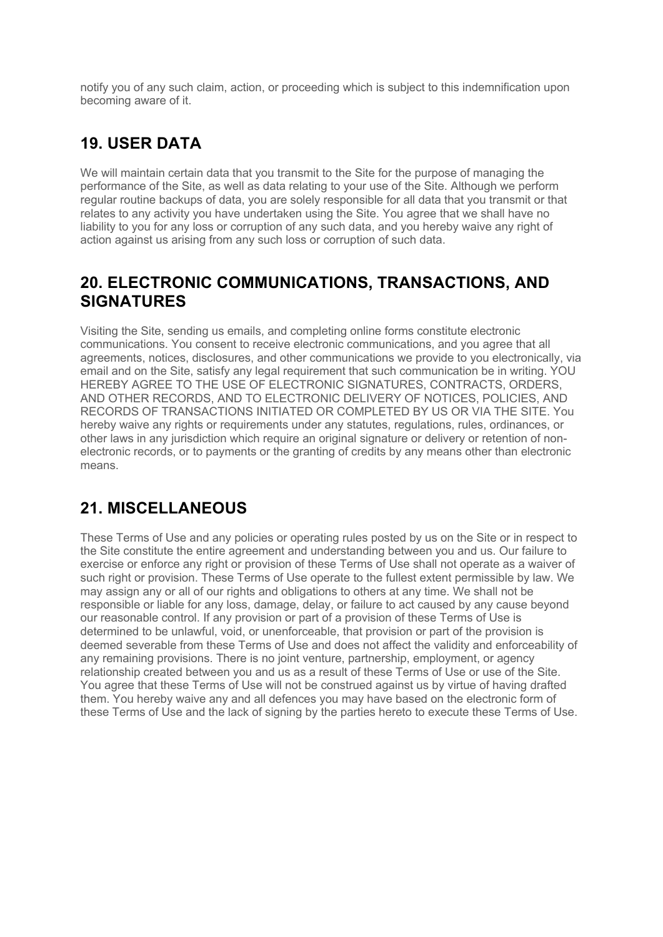notify you of any such claim, action, or proceeding which is subject to this indemnification upon becoming aware of it.

# **19. USER DATA**

We will maintain certain data that you transmit to the Site for the purpose of managing the performance of the Site, as well as data relating to your use of the Site. Although we perform regular routine backups of data, you are solely responsible for all data that you transmit or that relates to any activity you have undertaken using the Site. You agree that we shall have no liability to you for any loss or corruption of any such data, and you hereby waive any right of action against us arising from any such loss or corruption of such data.

### **20. ELECTRONIC COMMUNICATIONS, TRANSACTIONS, AND SIGNATURES**

Visiting the Site, sending us emails, and completing online forms constitute electronic communications. You consent to receive electronic communications, and you agree that all agreements, notices, disclosures, and other communications we provide to you electronically, via email and on the Site, satisfy any legal requirement that such communication be in writing. YOU HEREBY AGREE TO THE USE OF ELECTRONIC SIGNATURES, CONTRACTS, ORDERS, AND OTHER RECORDS, AND TO ELECTRONIC DELIVERY OF NOTICES, POLICIES, AND RECORDS OF TRANSACTIONS INITIATED OR COMPLETED BY US OR VIA THE SITE. You hereby waive any rights or requirements under any statutes, regulations, rules, ordinances, or other laws in any jurisdiction which require an original signature or delivery or retention of nonelectronic records, or to payments or the granting of credits by any means other than electronic means.

# **21. MISCELLANEOUS**

These Terms of Use and any policies or operating rules posted by us on the Site or in respect to the Site constitute the entire agreement and understanding between you and us. Our failure to exercise or enforce any right or provision of these Terms of Use shall not operate as a waiver of such right or provision. These Terms of Use operate to the fullest extent permissible by law. We may assign any or all of our rights and obligations to others at any time. We shall not be responsible or liable for any loss, damage, delay, or failure to act caused by any cause beyond our reasonable control. If any provision or part of a provision of these Terms of Use is determined to be unlawful, void, or unenforceable, that provision or part of the provision is deemed severable from these Terms of Use and does not affect the validity and enforceability of any remaining provisions. There is no joint venture, partnership, employment, or agency relationship created between you and us as a result of these Terms of Use or use of the Site. You agree that these Terms of Use will not be construed against us by virtue of having drafted them. You hereby waive any and all defences you may have based on the electronic form of these Terms of Use and the lack of signing by the parties hereto to execute these Terms of Use.